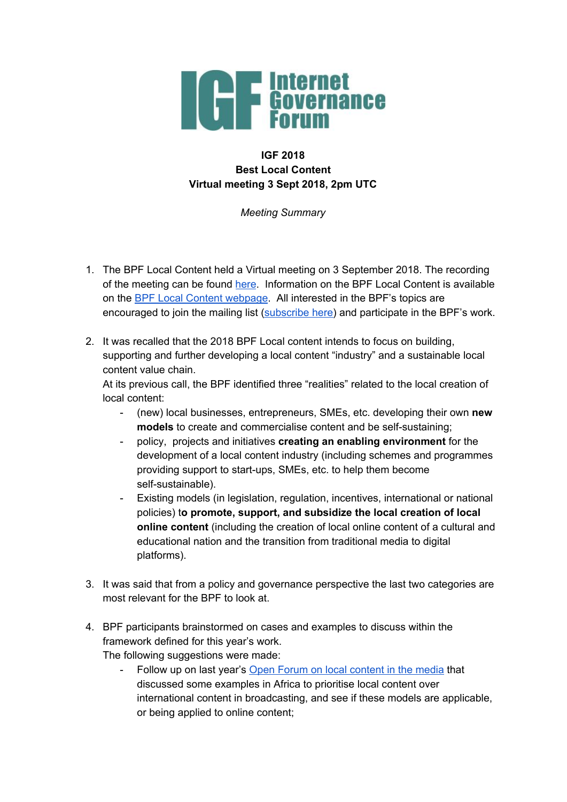

## **IGF 2018 Best Local Content Virtual meeting 3 Sept 2018, 2pm UTC**

*Meeting Summary*

- 1. The BPF Local Content held a Virtual meeting on 3 September 2018. The recording of the meeting can be found [here](https://intgovforum.webex.com/intgovforum/ldr.php?RCID=3116bc091d29251d07d0baa915d45568). Information on the BPF Local Content is available on the BPF Local Content [webpage](https://www.intgovforum.org/multilingual/content/bpf-local-content-0). All interested in the BPF's topics are encouraged to join the mailing list [\(subscribe](https://intgovforum.org/mailman/listinfo/bpf-localcontent_intgovforum.org) here) and participate in the BPF's work.
- 2. It was recalled that the 2018 BPF Local content intends to focus on building, supporting and further developing a local content "industry" and a sustainable local content value chain.

At its previous call, the BPF identified three "realities" related to the local creation of local content:

- (new) local businesses, entrepreneurs, SMEs, etc. developing their own **new models** to create and commercialise content and be self-sustaining;
- policy, projects and initiatives **creating an enabling environment** for the development of a local content industry (including schemes and programmes providing support to start-ups, SMEs, etc. to help them become self-sustainable).
- Existing models (in legislation, regulation, incentives, international or national policies) t**o promote, support, and subsidize the local creation of local online content** (including the creation of local online content of a cultural and educational nation and the transition from traditional media to digital platforms).
- 3. It was said that from a policy and governance perspective the last two categories are most relevant for the BPF to look at.
- 4. BPF participants brainstormed on cases and examples to discuss within the framework defined for this year's work.

The following suggestions were made:

Follow up on last year's Open Forum on local [content](http://www.intgovforum.org/multilingual/content/igf-2017-day-2-room-xxi-of81-local-content-in-the-media) in the media that discussed some examples in Africa to prioritise local content over international content in broadcasting, and see if these models are applicable, or being applied to online content;